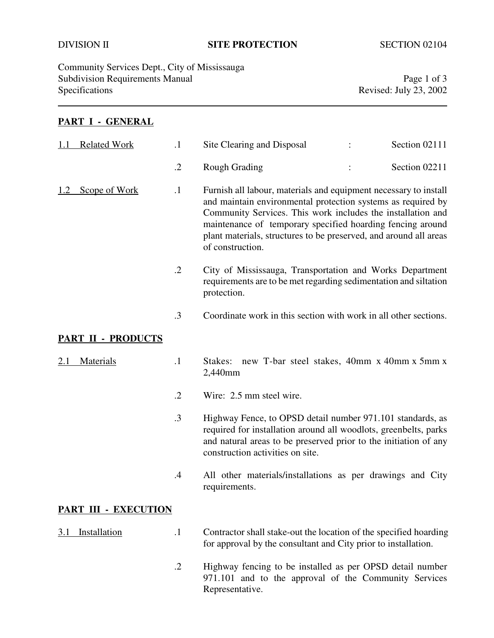## DIVISION II **SITE PROTECTION** SECTION 02104

Community Services Dept., City of Mississauga Subdivision Requirements Manual Page 1 of 3<br>Specifications Revised: July 23, 2002

### **PART I - GENERAL**

|     | <b>Related Work</b>       | $\cdot$ 1  | Site Clearing and Disposal                                                                                                                                                                                                                                                                                                                             |  | Section 02111 |
|-----|---------------------------|------------|--------------------------------------------------------------------------------------------------------------------------------------------------------------------------------------------------------------------------------------------------------------------------------------------------------------------------------------------------------|--|---------------|
|     |                           | $\cdot$ .2 | <b>Rough Grading</b>                                                                                                                                                                                                                                                                                                                                   |  | Section 02211 |
| 1.2 | Scope of Work             | $\cdot$    | Furnish all labour, materials and equipment necessary to install<br>and maintain environmental protection systems as required by<br>Community Services. This work includes the installation and<br>maintenance of temporary specified hoarding fencing around<br>plant materials, structures to be preserved, and around all areas<br>of construction. |  |               |
|     |                           | $\cdot$ .2 | City of Mississauga, Transportation and Works Department<br>requirements are to be met regarding sedimentation and siltation<br>protection.                                                                                                                                                                                                            |  |               |
|     |                           | $\cdot$ 3  | Coordinate work in this section with work in all other sections.                                                                                                                                                                                                                                                                                       |  |               |
|     | <b>PART II - PRODUCTS</b> |            |                                                                                                                                                                                                                                                                                                                                                        |  |               |
|     | <b>Materials</b>          | $\cdot$ 1  | Stakes: new T-bar steel stakes, 40mm x 40mm x 5mm x<br>2,440mm                                                                                                                                                                                                                                                                                         |  |               |
|     |                           | $\cdot$ .2 | Wire: 2.5 mm steel wire.                                                                                                                                                                                                                                                                                                                               |  |               |
|     |                           | $\cdot$ 3  | Highway Fence, to OPSD detail number 971.101 standards, as<br>required for installation around all woodlots, greenbelts, parks<br>and natural areas to be preserved prior to the initiation of any<br>construction activities on site.                                                                                                                 |  |               |
|     |                           | $\cdot$    | All other materials/installations as per drawings and City<br>requirements.                                                                                                                                                                                                                                                                            |  |               |
|     | PART III - EXECUTION      |            |                                                                                                                                                                                                                                                                                                                                                        |  |               |
| 3.1 | Installation              | $\cdot$ 1  | Contractor shall stake-out the location of the specified hoarding<br>for approval by the consultant and City prior to installation.                                                                                                                                                                                                                    |  |               |
|     |                           | $\cdot$ .2 | Highway fencing to be installed as per OPSD detail number                                                                                                                                                                                                                                                                                              |  |               |

971.101 and to the approval of the Community Services Representative.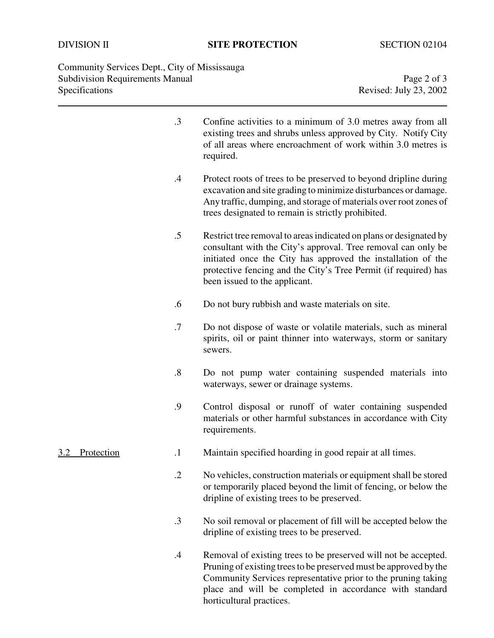Community Services Dept., City of Mississauga Subdivision Requirements Manual Page 2 of 3<br>Specifications Revised: July 23, 2002

Revised: July 23, 2002

|                   | $\cdot$ 3         | Confine activities to a minimum of 3.0 metres away from all<br>existing trees and shrubs unless approved by City. Notify City<br>of all areas where encroachment of work within 3.0 metres is<br>required.                                                                                              |
|-------------------|-------------------|---------------------------------------------------------------------------------------------------------------------------------------------------------------------------------------------------------------------------------------------------------------------------------------------------------|
|                   | $\cdot$           | Protect roots of trees to be preserved to beyond dripline during<br>excavation and site grading to minimize disturbances or damage.<br>Any traffic, dumping, and storage of materials over root zones of<br>trees designated to remain is strictly prohibited.                                          |
|                   | $.5\,$            | Restrict tree removal to areas indicated on plans or designated by<br>consultant with the City's approval. Tree removal can only be<br>initiated once the City has approved the installation of the<br>protective fencing and the City's Tree Permit (if required) has<br>been issued to the applicant. |
|                   | .6                | Do not bury rubbish and waste materials on site.                                                                                                                                                                                                                                                        |
|                   | .7                | Do not dispose of waste or volatile materials, such as mineral<br>spirits, oil or paint thinner into waterways, storm or sanitary<br>sewers.                                                                                                                                                            |
|                   | $\boldsymbol{.8}$ | Do not pump water containing suspended materials into<br>waterways, sewer or drainage systems.                                                                                                                                                                                                          |
|                   | .9                | Control disposal or runoff of water containing suspended<br>materials or other harmful substances in accordance with City<br>requirements.                                                                                                                                                              |
| Protection<br>3.2 | $\cdot$           | Maintain specified hoarding in good repair at all times.                                                                                                                                                                                                                                                |
|                   | $\cdot$ .2        | No vehicles, construction materials or equipment shall be stored<br>or temporarily placed beyond the limit of fencing, or below the<br>dripline of existing trees to be preserved.                                                                                                                      |
|                   | $\cdot$ 3         | No soil removal or placement of fill will be accepted below the<br>dripline of existing trees to be preserved.                                                                                                                                                                                          |
|                   | .4                | Removal of existing trees to be preserved will not be accepted.<br>Pruning of existing trees to be preserved must be approved by the<br>Community Services representative prior to the pruning taking<br>place and will be completed in accordance with standard                                        |

horticultural practices.